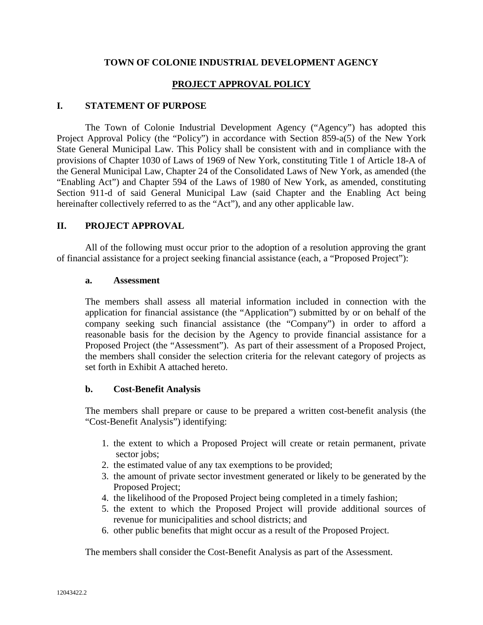### **TOWN OF COLONIE INDUSTRIAL DEVELOPMENT AGENCY**

## **PROJECT APPROVAL POLICY**

#### **I. STATEMENT OF PURPOSE**

The Town of Colonie Industrial Development Agency ("Agency") has adopted this Project Approval Policy (the "Policy") in accordance with Section 859-a(5) of the New York State General Municipal Law. This Policy shall be consistent with and in compliance with the provisions of Chapter 1030 of Laws of 1969 of New York, constituting Title 1 of Article 18-A of the General Municipal Law, Chapter 24 of the Consolidated Laws of New York, as amended (the "Enabling Act") and Chapter 594 of the Laws of 1980 of New York, as amended, constituting Section 911-d of said General Municipal Law (said Chapter and the Enabling Act being hereinafter collectively referred to as the "Act"), and any other applicable law.

### **II. PROJECT APPROVAL**

All of the following must occur prior to the adoption of a resolution approving the grant of financial assistance for a project seeking financial assistance (each, a "Proposed Project"):

#### **a. Assessment**

The members shall assess all material information included in connection with the application for financial assistance (the "Application") submitted by or on behalf of the company seeking such financial assistance (the "Company") in order to afford a reasonable basis for the decision by the Agency to provide financial assistance for a Proposed Project (the "Assessment"). As part of their assessment of a Proposed Project, the members shall consider the selection criteria for the relevant category of projects as set forth in Exhibit A attached hereto.

#### **b. Cost-Benefit Analysis**

The members shall prepare or cause to be prepared a written cost-benefit analysis (the "Cost-Benefit Analysis") identifying:

- 1. the extent to which a Proposed Project will create or retain permanent, private sector jobs;
- 2. the estimated value of any tax exemptions to be provided;
- 3. the amount of private sector investment generated or likely to be generated by the Proposed Project;
- 4. the likelihood of the Proposed Project being completed in a timely fashion;
- 5. the extent to which the Proposed Project will provide additional sources of revenue for municipalities and school districts; and
- 6. other public benefits that might occur as a result of the Proposed Project.

The members shall consider the Cost-Benefit Analysis as part of the Assessment.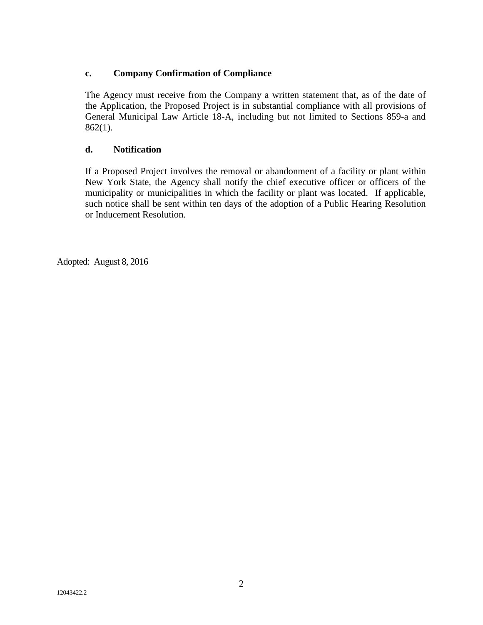## **c. Company Confirmation of Compliance**

The Agency must receive from the Company a written statement that, as of the date of the Application, the Proposed Project is in substantial compliance with all provisions of General Municipal Law Article 18-A, including but not limited to Sections 859-a and 862(1).

### **d. Notification**

If a Proposed Project involves the removal or abandonment of a facility or plant within New York State, the Agency shall notify the chief executive officer or officers of the municipality or municipalities in which the facility or plant was located. If applicable, such notice shall be sent within ten days of the adoption of a Public Hearing Resolution or Inducement Resolution.

Adopted: August 8, 2016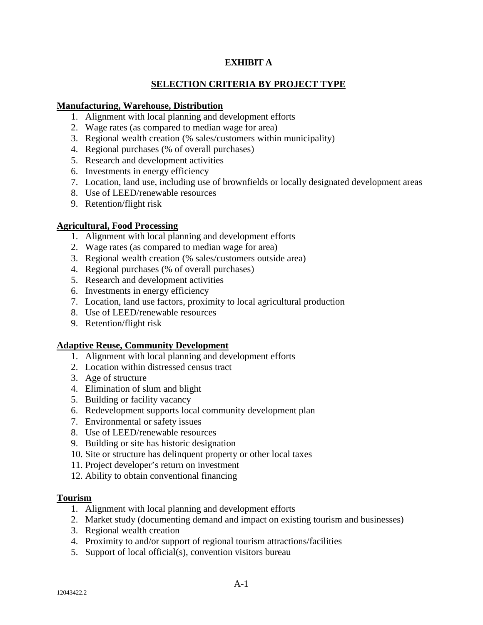## **EXHIBIT A**

# **SELECTION CRITERIA BY PROJECT TYPE**

## **Manufacturing, Warehouse, Distribution**

- 1. Alignment with local planning and development efforts
- 2. Wage rates (as compared to median wage for area)
- 3. Regional wealth creation (% sales/customers within municipality)
- 4. Regional purchases (% of overall purchases)
- 5. Research and development activities
- 6. Investments in energy efficiency
- 7. Location, land use, including use of brownfields or locally designated development areas
- 8. Use of LEED/renewable resources
- 9. Retention/flight risk

### **Agricultural, Food Processing**

- 1. Alignment with local planning and development efforts
- 2. Wage rates (as compared to median wage for area)
- 3. Regional wealth creation (% sales/customers outside area)
- 4. Regional purchases (% of overall purchases)
- 5. Research and development activities
- 6. Investments in energy efficiency
- 7. Location, land use factors, proximity to local agricultural production
- 8. Use of LEED/renewable resources
- 9. Retention/flight risk

#### **Adaptive Reuse, Community Development**

- 1. Alignment with local planning and development efforts
- 2. Location within distressed census tract
- 3. Age of structure
- 4. Elimination of slum and blight
- 5. Building or facility vacancy
- 6. Redevelopment supports local community development plan
- 7. Environmental or safety issues
- 8. Use of LEED/renewable resources
- 9. Building or site has historic designation
- 10. Site or structure has delinquent property or other local taxes
- 11. Project developer's return on investment
- 12. Ability to obtain conventional financing

#### **Tourism**

- 1. Alignment with local planning and development efforts
- 2. Market study (documenting demand and impact on existing tourism and businesses)
- 3. Regional wealth creation
- 4. Proximity to and/or support of regional tourism attractions/facilities
- 5. Support of local official(s), convention visitors bureau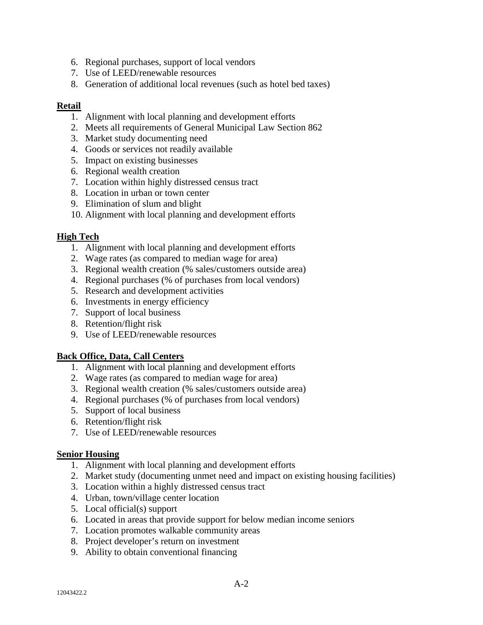- 6. Regional purchases, support of local vendors
- 7. Use of LEED/renewable resources
- 8. Generation of additional local revenues (such as hotel bed taxes)

#### **Retail**

- 1. Alignment with local planning and development efforts
- 2. Meets all requirements of General Municipal Law Section 862
- 3. Market study documenting need
- 4. Goods or services not readily available
- 5. Impact on existing businesses
- 6. Regional wealth creation
- 7. Location within highly distressed census tract
- 8. Location in urban or town center
- 9. Elimination of slum and blight
- 10. Alignment with local planning and development efforts

### **High Tech**

- 1. Alignment with local planning and development efforts
- 2. Wage rates (as compared to median wage for area)
- 3. Regional wealth creation (% sales/customers outside area)
- 4. Regional purchases (% of purchases from local vendors)
- 5. Research and development activities
- 6. Investments in energy efficiency
- 7. Support of local business
- 8. Retention/flight risk
- 9. Use of LEED/renewable resources

## **Back Office, Data, Call Centers**

- 1. Alignment with local planning and development efforts
- 2. Wage rates (as compared to median wage for area)
- 3. Regional wealth creation (% sales/customers outside area)
- 4. Regional purchases (% of purchases from local vendors)
- 5. Support of local business
- 6. Retention/flight risk
- 7. Use of LEED/renewable resources

#### **Senior Housing**

- 1. Alignment with local planning and development efforts
- 2. Market study (documenting unmet need and impact on existing housing facilities)
- 3. Location within a highly distressed census tract
- 4. Urban, town/village center location
- 5. Local official(s) support
- 6. Located in areas that provide support for below median income seniors
- 7. Location promotes walkable community areas
- 8. Project developer's return on investment
- 9. Ability to obtain conventional financing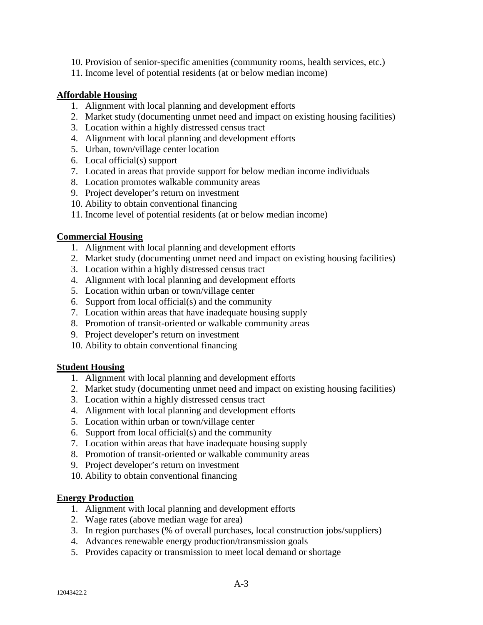- 10. Provision of senior-specific amenities (community rooms, health services, etc.)
- 11. Income level of potential residents (at or below median income)

### **Affordable Housing**

- 1. Alignment with local planning and development efforts
- 2. Market study (documenting unmet need and impact on existing housing facilities)
- 3. Location within a highly distressed census tract
- 4. Alignment with local planning and development efforts
- 5. Urban, town/village center location
- 6. Local official(s) support
- 7. Located in areas that provide support for below median income individuals
- 8. Location promotes walkable community areas
- 9. Project developer's return on investment
- 10. Ability to obtain conventional financing
- 11. Income level of potential residents (at or below median income)

### **Commercial Housing**

- 1. Alignment with local planning and development efforts
- 2. Market study (documenting unmet need and impact on existing housing facilities)
- 3. Location within a highly distressed census tract
- 4. Alignment with local planning and development efforts
- 5. Location within urban or town/village center
- 6. Support from local official(s) and the community
- 7. Location within areas that have inadequate housing supply
- 8. Promotion of transit-oriented or walkable community areas
- 9. Project developer's return on investment
- 10. Ability to obtain conventional financing

#### **Student Housing**

- 1. Alignment with local planning and development efforts
- 2. Market study (documenting unmet need and impact on existing housing facilities)
- 3. Location within a highly distressed census tract
- 4. Alignment with local planning and development efforts
- 5. Location within urban or town/village center
- 6. Support from local official(s) and the community
- 7. Location within areas that have inadequate housing supply
- 8. Promotion of transit-oriented or walkable community areas
- 9. Project developer's return on investment
- 10. Ability to obtain conventional financing

#### **Energy Production**

- 1. Alignment with local planning and development efforts
- 2. Wage rates (above median wage for area)
- 3. In region purchases (% of overall purchases, local construction jobs/suppliers)
- 4. Advances renewable energy production/transmission goals
- 5. Provides capacity or transmission to meet local demand or shortage